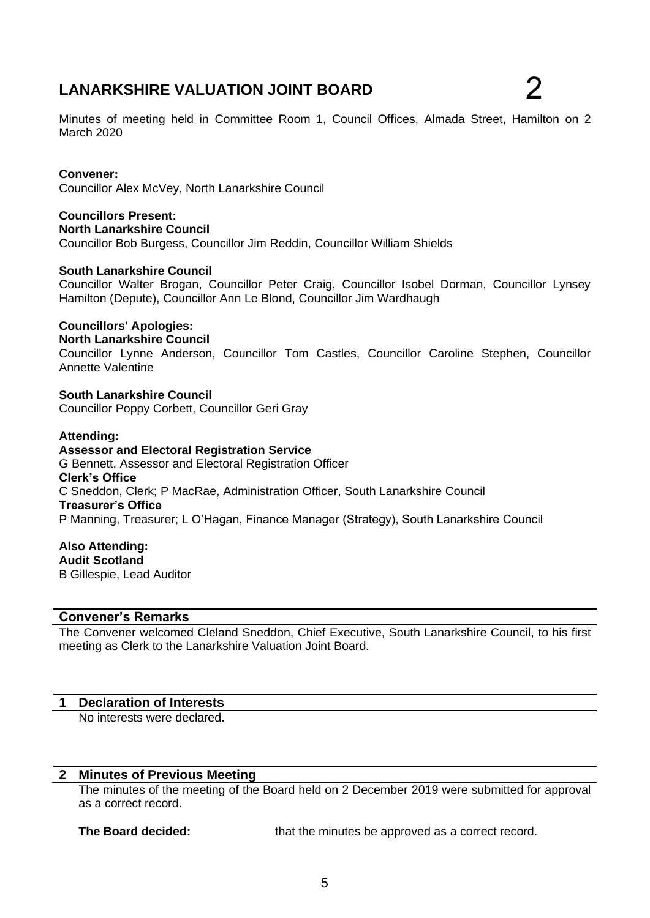# **LANARKSHIRE VALUATION JOINT BOARD**

Minutes of meeting held in Committee Room 1, Council Offices, Almada Street, Hamilton on 2 March 2020

## **Convener:**

Councillor Alex McVey, North Lanarkshire Council

**Councillors Present: North Lanarkshire Council** Councillor Bob Burgess, Councillor Jim Reddin, Councillor William Shields

#### **South Lanarkshire Council**

Councillor Walter Brogan, Councillor Peter Craig, Councillor Isobel Dorman, Councillor Lynsey Hamilton (Depute), Councillor Ann Le Blond, Councillor Jim Wardhaugh

## **Councillors' Apologies:**

#### **North Lanarkshire Council**

Councillor Lynne Anderson, Councillor Tom Castles, Councillor Caroline Stephen, Councillor Annette Valentine

**South Lanarkshire Council** Councillor Poppy Corbett, Councillor Geri Gray

#### **Attending:**

**Assessor and Electoral Registration Service** G Bennett, Assessor and Electoral Registration Officer **Clerk's Office** C Sneddon, Clerk; P MacRae, Administration Officer, South Lanarkshire Council **Treasurer's Office** P Manning, Treasurer; L O'Hagan, Finance Manager (Strategy), South Lanarkshire Council

**Also Attending: Audit Scotland** B Gillespie, Lead Auditor

## **Convener's Remarks**

The Convener welcomed Cleland Sneddon, Chief Executive, South Lanarkshire Council, to his first meeting as Clerk to the Lanarkshire Valuation Joint Board.

#### **1 Declaration of Interests**

No interests were declared.

#### **2 Minutes of Previous Meeting**

The minutes of the meeting of the Board held on 2 December 2019 were submitted for approval as a correct record.

**The Board decided:** that the minutes be approved as a correct record.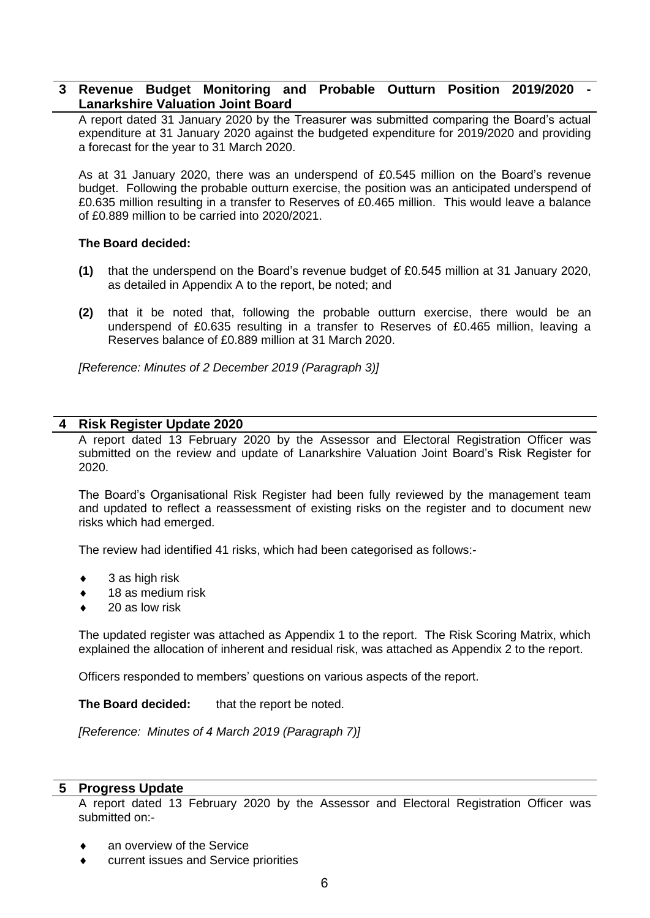# **3 Revenue Budget Monitoring and Probable Outturn Position 2019/2020 - Lanarkshire Valuation Joint Board**

A report dated 31 January 2020 by the Treasurer was submitted comparing the Board's actual expenditure at 31 January 2020 against the budgeted expenditure for 2019/2020 and providing a forecast for the year to 31 March 2020.

As at 31 January 2020, there was an underspend of £0.545 million on the Board's revenue budget. Following the probable outturn exercise, the position was an anticipated underspend of £0.635 million resulting in a transfer to Reserves of £0.465 million. This would leave a balance of £0.889 million to be carried into 2020/2021.

## **The Board decided:**

- **(1)** that the underspend on the Board's revenue budget of £0.545 million at 31 January 2020, as detailed in Appendix A to the report, be noted; and
- **(2)** that it be noted that, following the probable outturn exercise, there would be an underspend of £0.635 resulting in a transfer to Reserves of £0.465 million, leaving a Reserves balance of £0.889 million at 31 March 2020.

*[Reference: Minutes of 2 December 2019 (Paragraph 3)]*

## **4 Risk Register Update 2020**

A report dated 13 February 2020 by the Assessor and Electoral Registration Officer was submitted on the review and update of Lanarkshire Valuation Joint Board's Risk Register for 2020.

The Board's Organisational Risk Register had been fully reviewed by the management team and updated to reflect a reassessment of existing risks on the register and to document new risks which had emerged.

The review had identified 41 risks, which had been categorised as follows:-

- 3 as high risk
- 18 as medium risk
- 20 as low risk

The updated register was attached as Appendix 1 to the report. The Risk Scoring Matrix, which explained the allocation of inherent and residual risk, was attached as Appendix 2 to the report.

Officers responded to members' questions on various aspects of the report.

**The Board decided:** that the report be noted.

*[Reference: Minutes of 4 March 2019 (Paragraph 7)]*

## **5 Progress Update**

A report dated 13 February 2020 by the Assessor and Electoral Registration Officer was submitted on:-

- an overview of the Service
- current issues and Service priorities